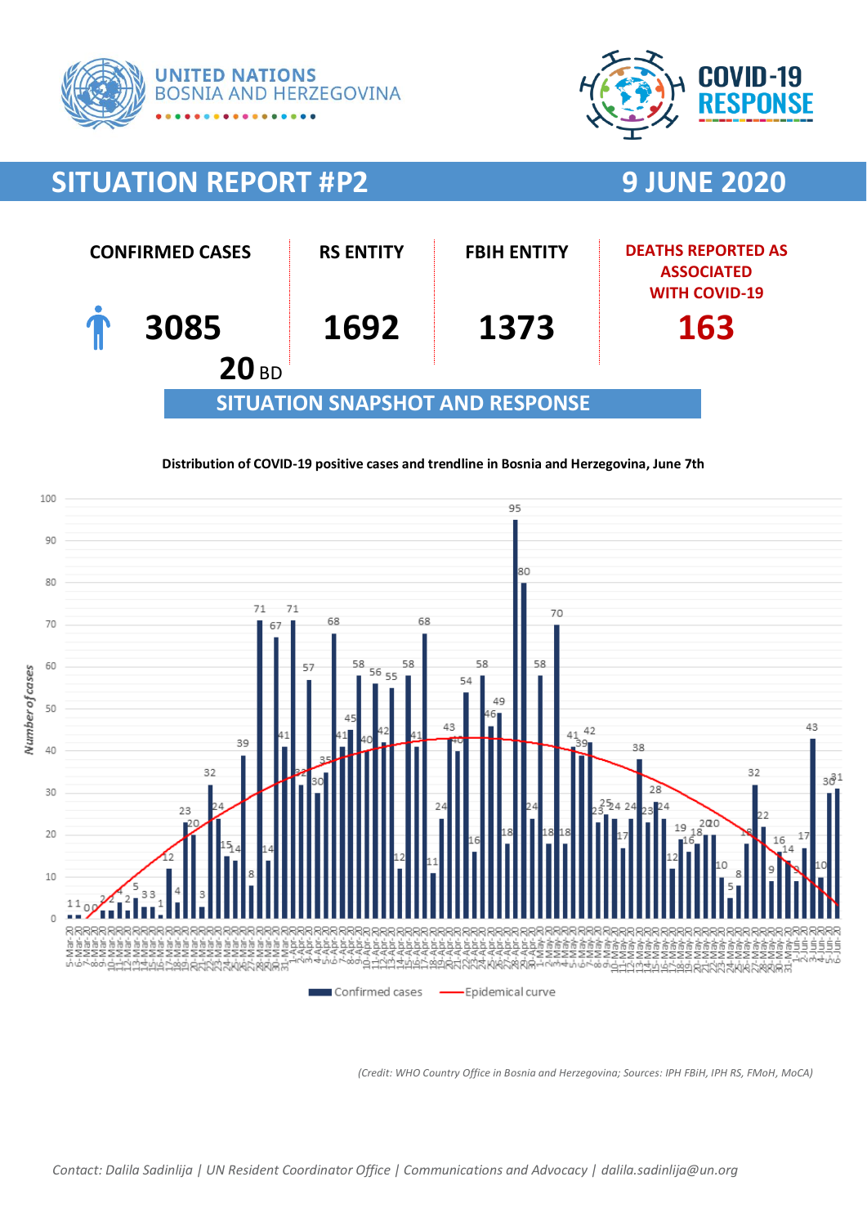



# **SITUATION REPORT #P2 9 JUNE 2020**



#### **Distribution of COVID-19 positive cases and trendline in Bosnia and Herzegovina, June 7th**



*(Credit: WHO Country Office in Bosnia and Herzegovina; Sources: IPH FBiH, IPH RS, FMoH, MoCA)*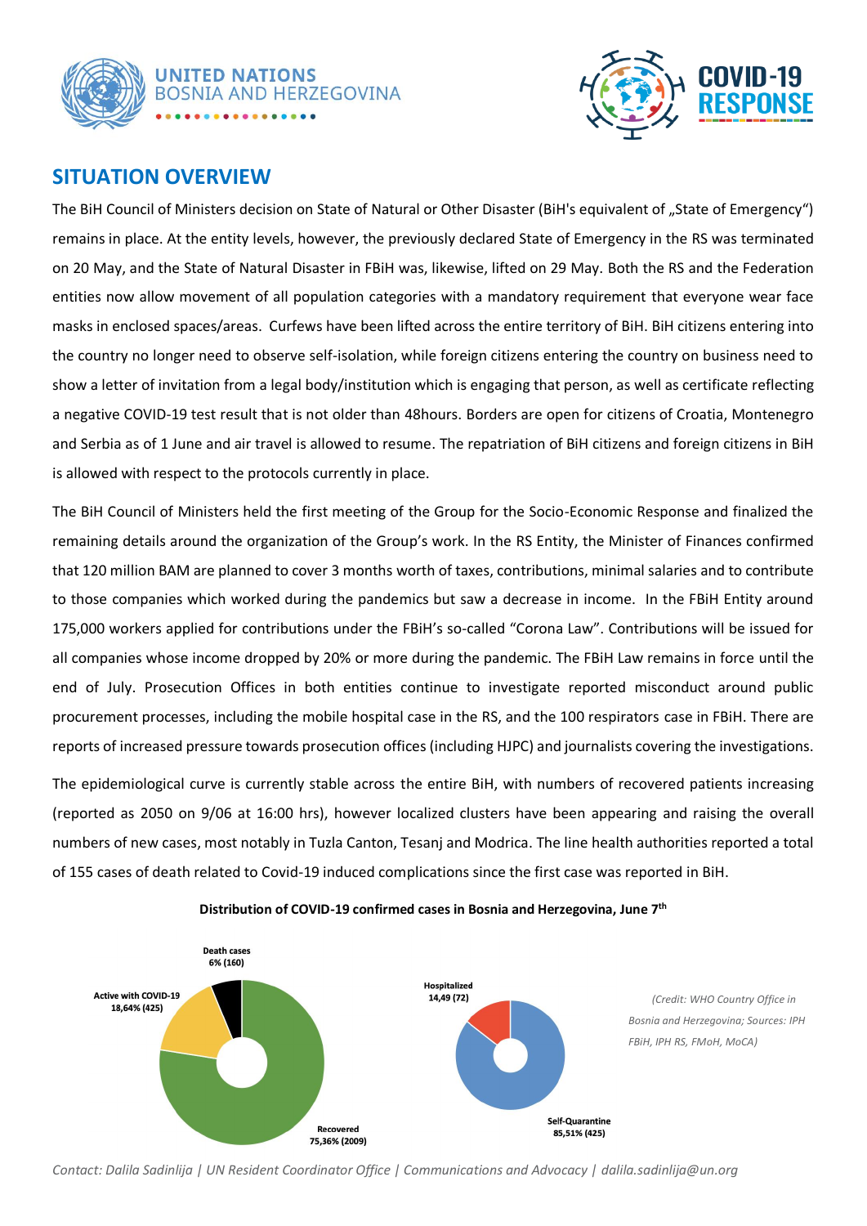



## **SITUATION OVERVIEW**

The BiH Council of Ministers decision on State of Natural or Other Disaster (BiH's equivalent of "State of Emergency") remains in place. At the entity levels, however, the previously declared State of Emergency in the RS was terminated on 20 May, and the State of Natural Disaster in FBiH was, likewise, lifted on 29 May. Both the RS and the Federation entities now allow movement of all population categories with a mandatory requirement that everyone wear face masks in enclosed spaces/areas. Curfews have been lifted across the entire territory of BiH. BiH citizens entering into the country no longer need to observe self-isolation, while foreign citizens entering the country on business need to show a letter of invitation from a legal body/institution which is engaging that person, as well as certificate reflecting a negative COVID-19 test result that is not older than 48hours. Borders are open for citizens of Croatia, Montenegro and Serbia as of 1 June and air travel is allowed to resume. The repatriation of BiH citizens and foreign citizens in BiH is allowed with respect to the protocols currently in place.

The BiH Council of Ministers held the first meeting of the Group for the Socio-Economic Response and finalized the remaining details around the organization of the Group's work. In the RS Entity, the Minister of Finances confirmed that 120 million BAM are planned to cover 3 months worth of taxes, contributions, minimal salaries and to contribute to those companies which worked during the pandemics but saw a decrease in income. In the FBiH Entity around 175,000 workers applied for contributions under the FBiH's so-called "Corona Law". Contributions will be issued for all companies whose income dropped by 20% or more during the pandemic. The FBiH Law remains in force until the end of July. Prosecution Offices in both entities continue to investigate reported misconduct around public procurement processes, including the mobile hospital case in the RS, and the 100 respirators case in FBiH. There are reports of increased pressure towards prosecution offices (including HJPC) and journalists covering the investigations.

The epidemiological curve is currently stable across the entire BiH, with numbers of recovered patients increasing (reported as 2050 on 9/06 at 16:00 hrs), however localized clusters have been appearing and raising the overall numbers of new cases, most notably in Tuzla Canton, Tesanj and Modrica. The line health authorities reported a total of 155 cases of death related to Covid-19 induced complications since the first case was reported in BiH.



#### **Distribution of COVID-19 confirmed cases in Bosnia and Herzegovina, June 7 th**

*Contact: Dalila Sadinlija | UN Resident Coordinator Office | Communications and Advocacy | dalila.sadinlija@un.org*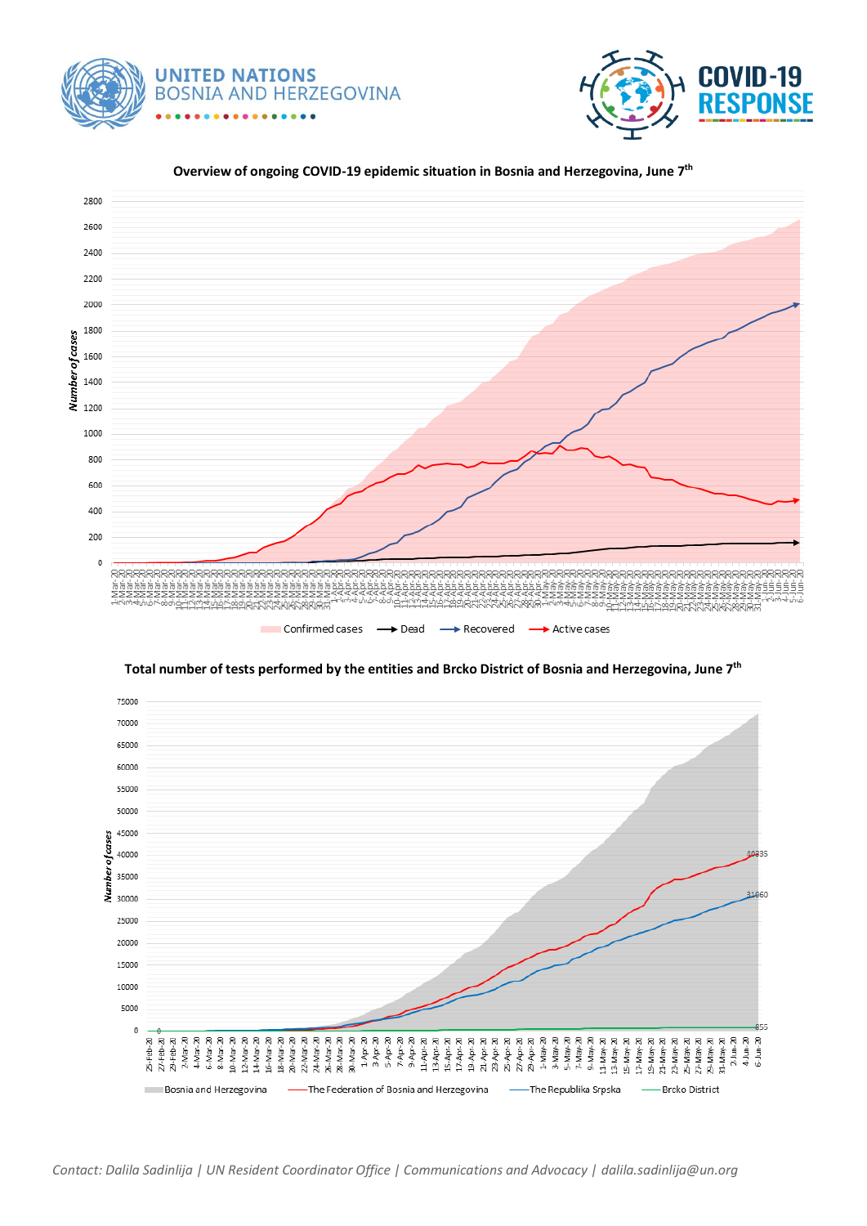



#### 2800 2600 2400 2200 2000 **8585858586**<br> **858561600**<br> **85861400**<br> **8581200** 1800 1000 800 600 400 200  $\mathbb O$ 000000000000000 0000999999 فققققة <u>assisisis</u> 加油冷冷的冷冷 Confirmed cases  $\longrightarrow$  Dead - Recovered Active cases

**Overview of ongoing COVID-19 epidemic situation in Bosnia and Herzegovina, June 7 th**



**Total number of tests performed by the entities and Brcko District of Bosnia and Herzegovina, June 7 th**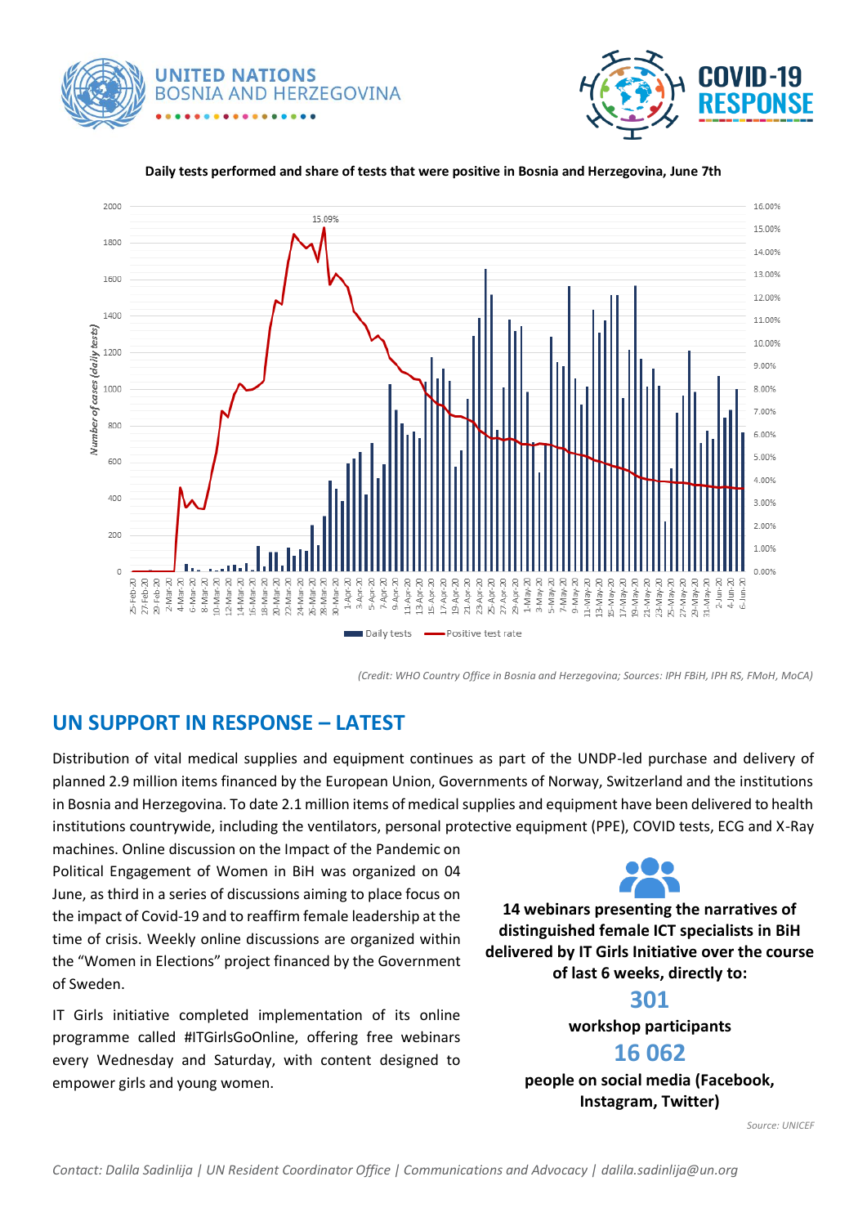





#### **Daily tests performed and share of tests that were positive in Bosnia and Herzegovina, June 7th**

*(Credit: WHO Country Office in Bosnia and Herzegovina; Sources: IPH FBiH, IPH RS, FMoH, MoCA)*

# **UN SUPPORT IN RESPONSE – LATEST**

Distribution of vital medical supplies and equipment continues as part of the UNDP-led purchase and delivery of planned 2.9 million items financed by the European Union, Governments of Norway, Switzerland and the institutions in Bosnia and Herzegovina. To date 2.1 million items of medical supplies and equipment have been delivered to health institutions countrywide, including the ventilators, personal protective equipment (PPE), COVID tests, ECG and X-Ray

machines. Online discussion on the Impact of the Pandemic on Political Engagement of Women in BiH was organized on 04 June, as third in a series of discussions aiming to place focus on the impact of Covid-19 and to reaffirm female leadership at the time of crisis. Weekly online discussions are organized within the "Women in Elections" project financed by the Government of Sweden.

IT Girls initiative completed implementation of its online programme called #ITGirlsGoOnline, offering free webinars every Wednesday and Saturday, with content designed to empower girls and young women.



**14 webinars presenting the narratives of distinguished female ICT specialists in BiH delivered by IT Girls Initiative over the course of last 6 weeks, directly to:**

### **301**

**workshop participants**

### **16 062**

**people on social media (Facebook, Instagram, Twitter)**

*Source: UNICEF*